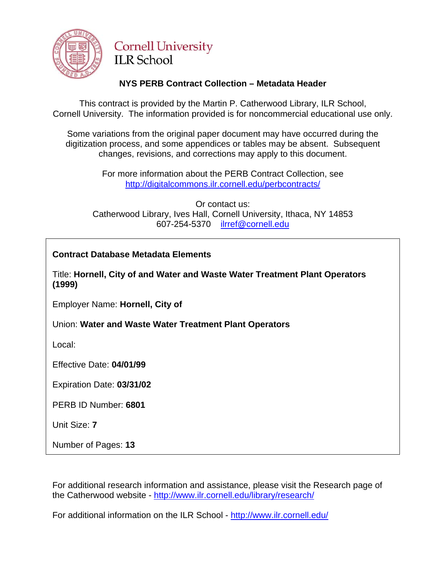

# **Cornell University ILR** School

# **NYS PERB Contract Collection – Metadata Header**

This contract is provided by the Martin P. Catherwood Library, ILR School, Cornell University. The information provided is for noncommercial educational use only.

Some variations from the original paper document may have occurred during the digitization process, and some appendices or tables may be absent. Subsequent changes, revisions, and corrections may apply to this document.

> For more information about the PERB Contract Collection, see http://digitalcommons.ilr.cornell.edu/perbcontracts/

Or contact us: Catherwood Library, Ives Hall, Cornell University, Ithaca, NY 14853 607-254-5370 [ilrref@cornell.edu](mailto:ilrref@cornell.edu)

# **Contract Database Metadata Elements**

Title: **Hornell, City of and Water and Waste Water Treatment Plant Operators (1999)** 

Employer Name: **Hornell, City of** 

Union: **Water and Waste Water Treatment Plant Operators** 

Local:

Effective Date: **04/01/99** 

Expiration Date: **03/31/02** 

PERB ID Number: **6801** 

Unit Size: **7** 

Number of Pages: **13** 

For additional research information and assistance, please visit the Research page of the Catherwood website -<http://www.ilr.cornell.edu/library/research/>

For additional information on the ILR School - <http://www.ilr.cornell.edu/>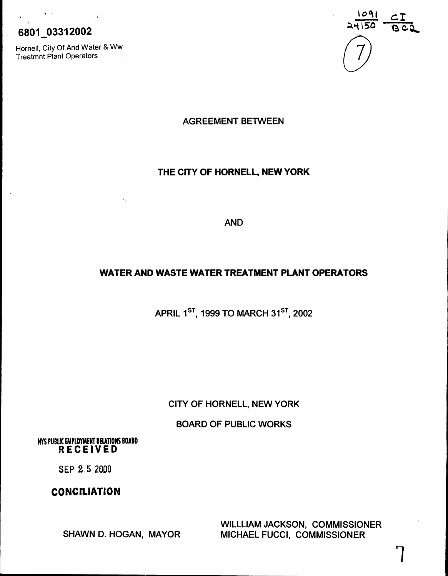# 6801 03312002

Hornell, City Of And Water & Ww<br>Treatmnt Plant Operators (2009)<br>Treatmnt Plant Operators Treatmnt Plant Operators



AGREEMENT BETWEEN

# THE CITY OF HORNELL, NEW YORK

AND

# WATER AND WASTE WATER TREATMENT PLANT OPERATORS

APRIL 1<sup>ST</sup>, 1999 TO MARCH 31<sup>ST</sup>, 2002

CITY OF HORNELL, NEW YORK

BOARD OF PUBLIC WORKS

NYS PUBUC EMPLOYMENT RElATIONS BOARD RECEIVED

SEP 2:5 2000

# **CONCILIATION**

SHAWN D. HOGAN, MAYOR

WILLllAM JACKSON, COMMISSIONER MICHAEL FUCCI, COMMISSIONER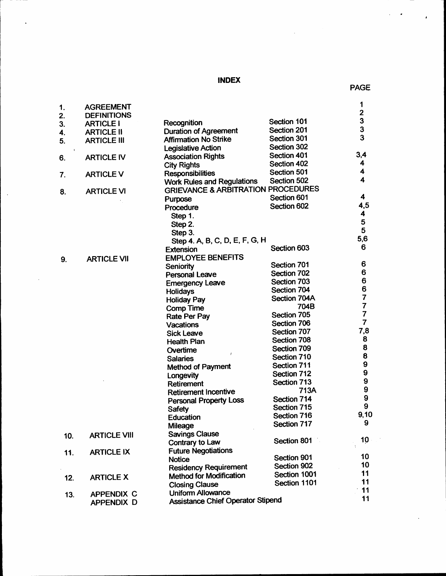# INDEX

 $\ddot{\phantom{0}}$ 

 $\sim$ 

 $\mathcal{A}$ 

 $\overline{a}$ 

 $\bullet$ 

| 1.                   | <b>AGREEMENT</b>    |                                                                                    |              | 1<br>$\overline{\mathbf{c}}$               |
|----------------------|---------------------|------------------------------------------------------------------------------------|--------------|--------------------------------------------|
| 2.                   | <b>DEFINITIONS</b>  | Recognition                                                                        | Section 101  |                                            |
| 3.                   | <b>ARTICLE I</b>    | <b>Duration of Agreement</b>                                                       | Section 201  |                                            |
| 4.                   | <b>ARTICLE II</b>   | <b>Affirmation No Strike</b>                                                       | Section 301  | $\begin{array}{c} 3 \\ 3 \\ 3 \end{array}$ |
| 5.                   | <b>ARTICLE III</b>  | <b>Legislative Action</b>                                                          | Section 302  |                                            |
| $\pmb{\mathfrak{t}}$ |                     |                                                                                    | Section 401  | 3,4                                        |
| 6.                   | <b>ARTICLE IV</b>   | <b>Association Rights</b>                                                          | Section 402  | 4                                          |
|                      |                     | <b>City Rights</b>                                                                 | Section 501  | 4                                          |
| 7.                   | <b>ARTICLE V</b>    | <b>Responsibilities</b>                                                            | Section 502  | $\overline{\mathbf{4}}$                    |
|                      |                     | <b>Work Rules and Regulations</b><br><b>GRIEVANCE &amp; ARBITRATION PROCEDURES</b> |              |                                            |
| 8.                   | <b>ARTICLE VI</b>   |                                                                                    | Section 601  | 4                                          |
|                      |                     | <b>Purpose</b>                                                                     | Section 602  | 4,5                                        |
|                      |                     | Procedure                                                                          |              | 4                                          |
|                      |                     | Step 1.                                                                            |              | 5                                          |
|                      |                     | Step 2.                                                                            |              | 5                                          |
|                      |                     | Step 3.<br>Step 4. A, B, C, D, E, F, G, H                                          |              | 5,6                                        |
|                      |                     |                                                                                    | Section 603  | 6                                          |
|                      |                     | <b>Extension</b><br><b>EMPLOYEE BENEFITS</b>                                       |              |                                            |
| 9.                   | <b>ARTICLE VII</b>  |                                                                                    | Section 701  | 6                                          |
|                      |                     | Seniority<br><b>Personal Leave</b>                                                 | Section 702  | 6                                          |
|                      |                     | <b>Emergency Leave</b>                                                             | Section 703  | 6                                          |
|                      |                     | Holidays                                                                           | Section 704  | 6                                          |
|                      |                     | <b>Holiday Pay</b>                                                                 | Section 704A | 7                                          |
|                      |                     | <b>Comp Time</b>                                                                   | 704B         | 7                                          |
|                      |                     | <b>Rate Per Pay</b>                                                                | Section 705  | 7                                          |
|                      |                     | <b>Vacations</b>                                                                   | Section 706  | $\overline{\mathbf{7}}$                    |
|                      |                     | <b>Sick Leave</b>                                                                  | Section 707  | 7,8                                        |
|                      |                     | <b>Health Plan</b>                                                                 | Section 708  | 8                                          |
|                      |                     | Overtime                                                                           | Section 709  | 8                                          |
|                      |                     | $\prime$<br><b>Salaries</b>                                                        | Section 710  | 8                                          |
|                      |                     | <b>Method of Payment</b>                                                           | Section 711  | 9                                          |
|                      |                     | Longevity                                                                          | Section 712  | 9                                          |
|                      |                     | Retirement                                                                         | Section 713  | 9                                          |
|                      |                     | <b>Retirement Incentive</b>                                                        | 713A         | $\boldsymbol{9}$                           |
|                      |                     | <b>Personal Property Loss</b>                                                      | Section 714  | $\boldsymbol{9}$                           |
|                      |                     | Safety                                                                             | Section 715  | 9                                          |
|                      |                     | <b>Education</b>                                                                   | Section 716  | 9,10                                       |
|                      |                     | Mileage                                                                            | Section 717  | 9                                          |
| 10.                  | <b>ARTICLE VIII</b> | <b>Savings Clause</b>                                                              |              |                                            |
|                      |                     | Contrary to Law                                                                    | Section 801  | 10                                         |
| 11.                  | <b>ARTICLE IX</b>   | <b>Future Negotiations</b>                                                         |              |                                            |
|                      |                     | <b>Notice</b>                                                                      | Section 901  | 10                                         |
|                      |                     | <b>Residency Requirement</b>                                                       | Section 902  | 10                                         |
| 12.                  | <b>ARTICLE X</b>    | <b>Method for Modification</b>                                                     | Section 1001 | 11                                         |
|                      |                     | <b>Closing Clause</b>                                                              | Section 1101 | 11                                         |
| 13.                  | <b>APPENDIX C</b>   | <b>Uniform Allowance</b>                                                           |              | 11                                         |
|                      | <b>APPENDIX D</b>   | <b>Assistance Chief Operator Stipend</b>                                           |              | 11                                         |
|                      |                     |                                                                                    |              |                                            |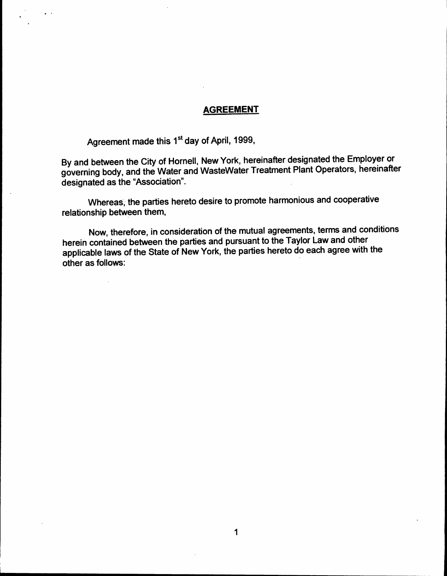# **AGREEMENT**

Agreement made this 1<sup>st</sup> day of April, 1999,

By and between the City of Hornell, New York, hereinafter designated the Employer or governing body, and the Water and WasteWater Treatment Plant Operators, hereinafter designated as the "Association".

Whereas, the parties hereto desire to promote harmonious and cooperative relationship between them,

Now, therefore, in consideration of the mutual agreements, terms and conditions herein contained between the parties and pursuant to the Taylor Law and other applicable laws of the State of New York, the parties hereto do each agree with the . other as follows: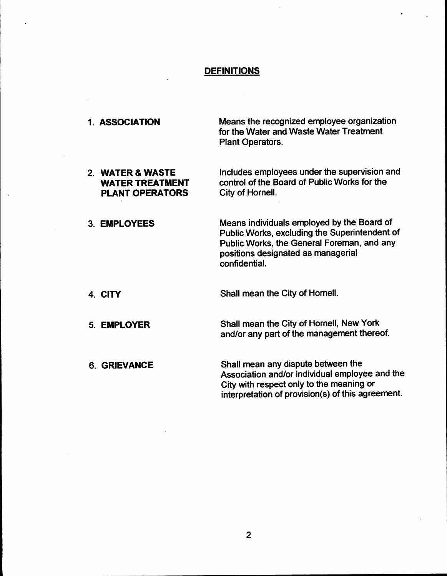# **DEFINITIONS**

 $\ddot{\phantom{a}}$ 

| 1. ASSOCIATION                                                       | Means the recognized employee organization<br>for the Water and Waste Water Treatment<br><b>Plant Operators.</b>                                                                                 |
|----------------------------------------------------------------------|--------------------------------------------------------------------------------------------------------------------------------------------------------------------------------------------------|
| 2. WATER & WASTE<br><b>WATER TREATMENT</b><br><b>PLANT OPERATORS</b> | Includes employees under the supervision and<br>control of the Board of Public Works for the<br>City of Hornell.                                                                                 |
| 3. EMPLOYEES                                                         | Means individuals employed by the Board of<br>Public Works, excluding the Superintendent of<br>Public Works, the General Foreman, and any<br>positions designated as managerial<br>confidential. |
| 4. CITY                                                              | Shall mean the City of Hornell.                                                                                                                                                                  |
| 5. EMPLOYER                                                          | Shall mean the City of Hornell, New York<br>and/or any part of the management thereof.                                                                                                           |
| <b>6. GRIEVANCE</b>                                                  | Shall mean any dispute between the<br>Association and/or individual employee and the<br>City with respect only to the meaning or<br>interpretation of provision(s) of this agreement.            |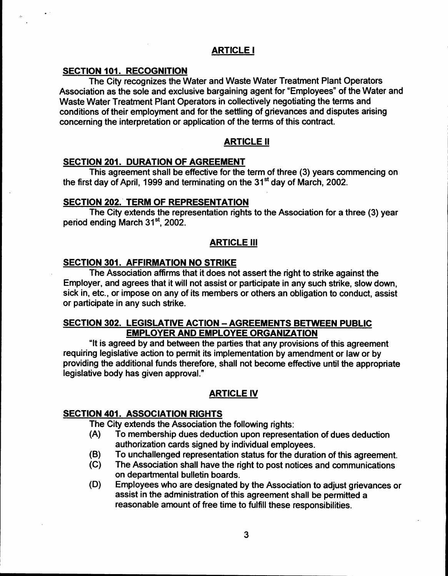# ARTICLE I

# SECTION 101. RECOGNITION

The City recognizes the Water and Waste Water Treatment Plant Operators Association as the sole and exclusive bargaining agent for "Employees" of the Water and Waste Water Treatment Plant Operators in collectively negotiating the terms and conditions of their employment and for the settling of grievances and disputes arising concerning the interpretation or application of the terms of this contract.

# ARTICLE II

# **SECTION 201. DURATION OF AGREEMENT**

This agreement shall be effective for the term of three (3) years commencing on the first day of April, 1999 and terminating on the 31<sup>st</sup> day of March. 2002.

# SECTION 202. TERM OF REPRESENTATION

The City extends the representation rights to the Association for a three (3) year period ending March 31<sup>st</sup>, 2002.

# ARTICLE III

# SECTION 301. AFFIRMATION NO STRIKE

The Association affirms that it does not assert the right to strike against the Employer, and agrees that it will not assist or participate in any such strike, slow down, sick in, etc., or impose on any of its members or others an obligation to conduct, assist or participate in any such strike.

# SECTION 302. LEGISLATIVE ACTION - AGREEMENTS BETWEEN PUBLIC EMPLOYER AND EMPLOYEE ORGANIZATION

"It is agreed by and between the parties that any provisions of this agreement requiring legislative action to permit its implementation by amendment or law or by providing the additional funds therefore, shall not become effective until the appropriate legislative body has given approval."

# ARTICLE IV

# **SECTION 401. ASSOCIATION RIGHTS**

The City extends the Association the following rights:

- (A) To membership dues deduction upon representation of dues deduction authorization cards signed by individual employees.
- (B) To unchallenged representation status for the duration of this agreement.
- (C) The Association shall have the right to post notices and communications on departmental bulletin boards.
- (D) Employees who are designated by the Association to adjust grievances or assist in the administration of this agreement shall be permitted a reasonable amount of free time to fulfill these responsibilities.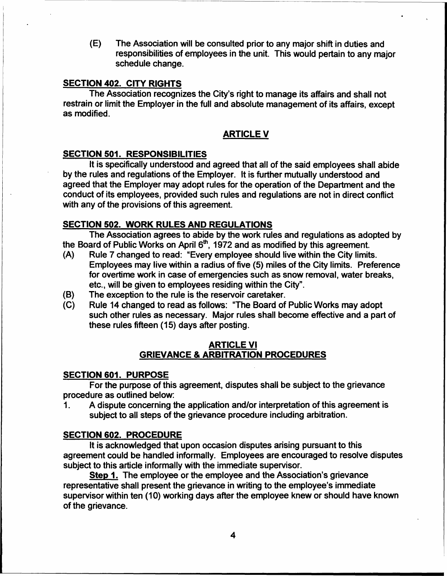(E) The Association will be consulted prior to any major shift in duties and responsibilities of employees in the unit. This would pertain to any major schedule change.

# **SECTION 402. CITY RIGHTS**

The Association recognizes the City's right to manage its affairs and shall not restrain or limit the Employer in the full and absolute management of its affairs, except as modified.

# ARTICLE V

# SECTION 501. RESPONSIBILITIES

It is specifically understood and agreed that all of the said employees shall abide by the rules and regulations of the Employer. It is further mutually understood and agreed that the Employer may adopt rules for the operation of the Department and the conduct of its employees, provided such rules and regulations are not in direct conflict with any of the provisions of this agreement.

### SECTION 502. WORK RULES AND REGULATIONS

The Association agrees to abide by the work rules and regulations as adopted by the Board of Public Works on April  $6<sup>th</sup>$ , 1972 and as modified by this agreement.

- (A) Rule 7 changed to read: "Every employee should live within the City limits. Employees may live within a radius of five (5) miles of the City limits. Preference for overtime work in case of emergencies such as snow removal, water breaks, etc., will be given to employees residing within the City".
- (B) The exception to the rule is the reservoir caretaker.
- (C) Rule 14 changed to read as follows: "The Board of Public Works may adopt such other rules as necessary. Major rules shall become effective and a part of these rules fifteen (15) days after posting.

# ARTICLE VI GRIEVANCE & ARBITRATION PROCEDURES

# SECTION 601. PURPOSE

For the purpose of this agreement, disputes shall be subject to the grievance procedure as outlined below:

1. A dispute concerning the application and/or interpretation of this agreement is subject to all steps of the grievance procedure including arbitration.

# SECTION 602. PROCEDURE

It is acknowledged that upon occasion disputes arising pursuant to this agreement could be handled informally. Employees are encouraged to resolve disputes subject to this article informally with the immediate supervisor.

Step 1. The employee or the employee and the Association's grievance representative shall present the grievance in writing to the employee's immediate supervisor within ten (10) working days after the employee knew or should have known of the grievance.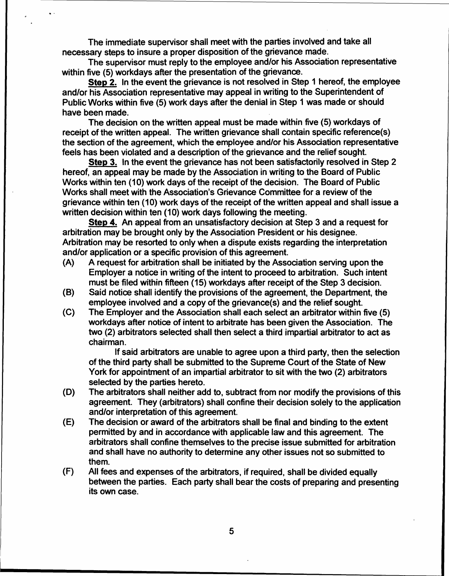The immediate supervisor shall meet with the parties involved and take all necessary steps to insure a proper disposition of the grievance made.

The supervisor must reply to the employee and/or his Association representative within five (5) workdays after the presentation of the grievance.

Step 2. In the event the grievance is not resolved in Step 1 hereof, the employee and/or his Association representative may appeal in writing to the Superintendent of Public Works within five (5) work days after the denial in Step 1 was made or should have been made. .

The decision on the written appeal must be made within five (5) workdays of receipt of the written appeal. The written grievance shall contain specific reference(s) the section of the agreement, which the employee and/or his Association representative feels has been violated and a description of the grievance and the relief sought.

Step 3. In the event the grievance has not been satisfactorily resolved in Step 2 hereof, an appeal may be made by the Association in writing to the Board of Public Works within ten (10) work days of the receipt of the decision. The Board of Public Works shall meet with the Association's Grievance Committee for a review of the grievance within ten (10) work days of the receipt of the written appeal and shall issue a written decision within ten (10) work days following the meeting.

Step 4. An appeal from an unsatisfactory decision at Step 3 and a request for arbitration may be brought only by the Association President or his designee. Arbitration may be resorted to only when a dispute exists regarding the interpretation and/or application or a specific provision of this agreement.

- (A) A request for arbitration shall be initiated by the Association serving upon the Employer a notice in writing of the intent to proceed to arbitration. Such intent must be filed within fifteen (15) workdays after receipt of the Step 3 decision.
- (B) Said notice shall identify the provisions of the agreement, the Department, the employee involved and a copy of the grievance(s) and the relief sought.
- (C) The Employer and the Association shall each select an arbitrator within five (5) workdays after notice of intent to arbitrate has been given the Association. The two (2) arbitrators selected shall then select a third impartial arbitrator to act as chairman.

If said arbitrators are unable to agree upon a third party, then the selection of the third party shall be submitted to the Supreme Court of the State of New York for appointment of an impartial arbitrator to sit with the two (2) arbitrators selected by the parties hereto.

- (D) The arbitrators shall neither add to, subtract from nor modify the provisions of this agreement. They (arbitrators) shall confine their decision solely to the application and/or interpretation of this agreement.
- (E) The decision or award of the arbitrators shall be final and binding to the extent permitted by and in accordance with applicable law and this agreement. The arbitrators shall confine themselves to the precise issue submitted for arbitration and shall have no authority to determine any other issues not so submitted to them.
- (F) All fees and expenses of the arbitrators, if required, shall be divided equally between the parties. Each party shall bear the costs of preparing and presenting its own case.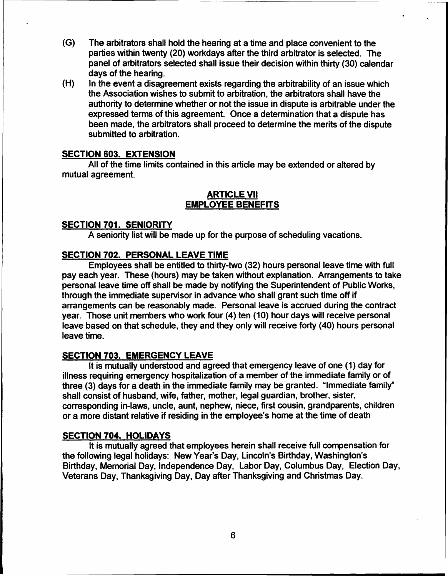- (G) The arbitrators shall hold the hearing at a time and place convenient to the parties within twenty (20) workdays after the third arbitrator is selected. The panel of arbitrators selected shall issue their decision within thirty (30) calendar days of the hearing.
- In the event a disagreement exists regarding the arbitrability of an issue which the Association wishes to submit to arbitration, the arbitrators shall have the authority to determine whether or not the issue in dispute is arbitrable under the expressed terms of this agreement. Once a determination that a dispute has been made, the arbitrators shall proceed to determine the merits of the dispute submitted to arbitration. (H)

#### SECTION 603. EXTENSION

All of the time limits contained in this article may be extended or altered by mutual agreement.

# ARTICLE VII EMPLOYEE BENEFITS

#### SECTION 701. SENIORITY

A seniority list will be made up for the purpose of scheduling vacations.

# SECTION 702. PERSONAL LEAVE TIME

Employees shall be entitled to thirty-two (32) hours personal leave time with full pay each year. These (hours) may be taken without explanation. Arrangements to take personal leave time off shall be made by notifying the Superintendent of Public Works, through the immediate supervisor in advance who shall grant such time off if arrangements can be reasonably made. Personal leave is accrued during the contract year. Those unit members who work four (4) ten (10) hour days will receive personal leave based on that schedule, they and they only will receive forty (40) hours personal leave time.

### SECTION 703. EMERGENCY LEAVE

It is mutually understood and agreed that emergency leave of one (1) day for illness requiring emergency hospitalization of a member of the immediate family or of three (3) days for a death in the immediate family may be granted. "Immediate family" shall consist of husband, wife. father, mother, legal guardian, brother, sister, corresponding in-laws, uncle, aunt, nephew, niece, first cousin, grandparents, children or a more distant relative if residing in the employee's home at the time of death

#### SECTION 704. HOLIDAYS

It is mutually agreed that employees herein shall receive full compensation for the following legal holidays: New Year's Day, Lincoln's Birthday, Washington's Birthday, Memorial Day, Independence Day, Labor Day, Columbus Day, Election Day, Veterans Day, Thanksgiving Day. Day after Thanksgiving and Christmas Day.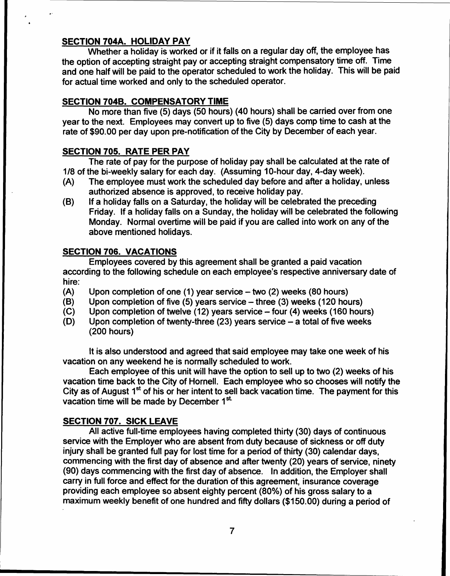# SECTION 704A. HOLIDAY PAY

Whether a holiday is worked or if it falls on a regular day off, the employee has the option of accepting straight pay or accepting straight compensatory time off. Time and one half will be paid to the operator scheduled to work the holiday. This will be paid for actual time worked and only to the scheduled operator.

# SECTION 7048. COMPENSATORY TIME

No more than five (5) days (50 hours) (40 hours) shall be carried over from one year to the next. Employees may convert up to five (5) days comp time to cash at the rate of \$90.00 per day upon pre-notification of the City by December of each year.

### SECTION 705. RATE PER PAY

The rate of pay for the purpose of holiday pay shall be calculated at the rate of 1/8 of the bi-weekly salary for each day. (Assuming 10-hour day, 4-day week).

- (A) The employee must work the scheduled day before and after a holiday, unless authorized absence is approved, to receive holiday pay.
- (8) If a holiday falls on a Saturday, the holiday will be celebrated the preceding Friday. If a holiday falls on a Sunday, the holiday will be celebrated the following Monday. Normal overtime will be paid if you are called into work on any of the above mentioned holidays.

### SECTION 706. VACATIONS

Employees covered by this agreement shall be granted a paid vacation according to the following schedule on each employee's respective anniversary date of hire:

- (A) Upon completion of one  $(1)$  year service  $-$  two  $(2)$  weeks  $(80$  hours)
- (8) Upon completion of five  $(5)$  years service  $-$  three  $(3)$  weeks  $(120$  hours)
- (C) Upon completion of twelve  $(12)$  years service  $-$  four  $(4)$  weeks  $(160$  hours)
- (D) Upon completion of twenty-three (23) years service  $-$  a total of five weeks (200 hours)

It is also understood and agreed that said employee may take one week of his vacation on any weekend he is normally scheduled to work.

Each employee of this unit will have the option to sell up to two (2) weeks of his vacation time back to the City of Hornell. Each employee who so chooses will notify the City as of August  $1<sup>st</sup>$  of his or her intent to sell back vacation time. The payment for this vacation time will be made by December 1<sup>st.</sup>

# SECTION 707. SICK LEAVE

All active full-time employees having completed thirty (30) days of continuous service with the Employer who are absent from duty because of sickness or off duty injury shall be granted full pay for lost time for a period of thirty (30) calendar days, commencing with the first day of absence and after twenty (20) years of service, ninety (90) days commencing with the first day of absence. In addition, the Employer shall carry in full force and effect for the duration of this agreement, insurance coverage providing each employee so absent eighty percent (80%» of his gross salary to a maximum weekly benefit of one hundred and fifty dollars (\$150.00) during a period of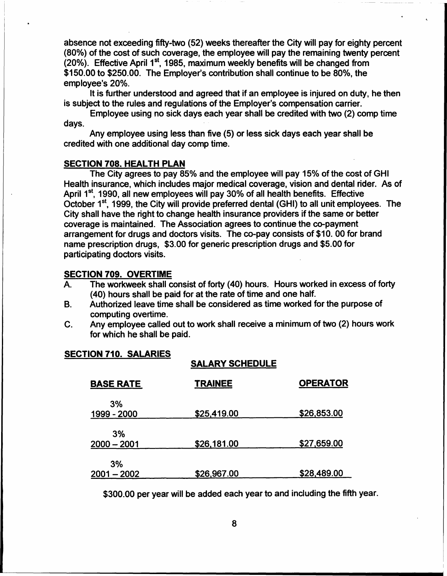absence not exceeding fifty-two (52) weeks thereafter the City will pay for eighty percent (80%) of the cost of such coverage, the employee will pay the remaining twenty percent  $(20%)$ . Effective April 1<sup>st</sup>, 1985, maximum weekly benefits will be changed from \$150.00 to \$250.00. The Employer's contribution shall continue to be 80%, the employee's 20%.

It is further understood and agreed that if an employee is injured on duty, he then is subject to the rules and regulations of the Employer's compensation carrier.

Employee using no sick days each year shall be credited with two (2) comp time days.

Any employee using less than five (5) or less sick days each year shall be credited with one additional day comp time.

#### SECTION 708. HEALTH PLAN

The City agrees to pay 85% and the employee will pay 15% of the cost of GHI Health insurance, which includes major medical coverage, vision and dental rider. As of April  $1^{st}$ , 1990, all new employees will pay 30% of all health benefits. Effective October 1<sup>st</sup>, 1999, the City will provide preferred dental (GHI) to all unit employees. The City shall have the right to change health insurance providers if the same or better coverage is maintained. The Association agrees to continue the co-payment arrangement for drugs and doctors visits. The co-pay consists of \$10. 00 for brand name prescription drugs, \$3.00 for generic prescription drugs and \$5.00 for participating doctors visits.

#### SECTION 709. OVERTIME

- A. The workweek shall consist of forty (40) hours. Hours worked in excess of forty (40) hours shall be paid for at the rate of time and one half.
- Authorized leave time shall be considered as time worked for the purpose of computing overtime. B.
- Any employee called out to work shall receive a minimum of two (2) hours work for which he shall be paid. C.

### SECTION 710. SALARIES

#### SALARY SCHEDULE

| <b>BASE RATE</b>    | <b>TRAINEE</b> | <b>OPERATOR</b> |
|---------------------|----------------|-----------------|
| 3%<br>1999 - 2000   | \$25,419.00    | \$26,853.00     |
| 3%<br>$2000 - 2001$ | \$26,181.00    | \$27,659.00     |
| 3%<br>$2001 - 2002$ | \$26,967.00    | \$28,489.00     |

\$300.00 per year will be added each year to and including the fifth year.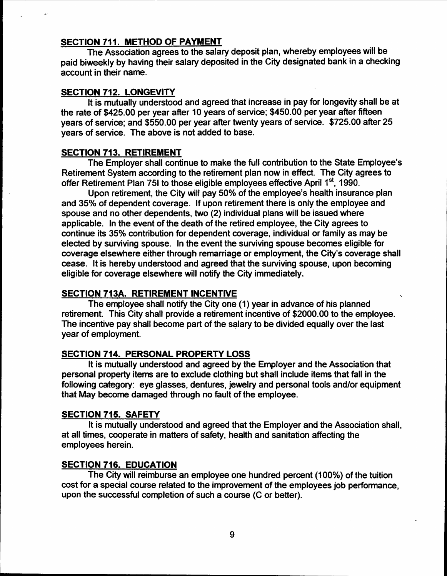# SECTION 711. METHOD OF PAYMENT

The Association agrees to the salary deposit plan, whereby employees will be paid biweekly by having their salary deposited in the City designated bank in a checking account in their name.

# SECTION 712. LONGEVITY

It is mutually understood and agreed that increase in pay for longevity shall be at the rate of \$425.00 per year after 10 years of service; \$450.00 per year after fifteen years of service; and \$550.00 per year after twenty years of service. \$725.00 after 25 years of service. The above is not added to base.

# SECTION 713. RETIREMENT

The Employer shall continue to make the full contribution to the State Employee's Retirement System according to the retirement plan now in effect. The City agrees to offer Retirement Plan 751 to those eligible employees effective April 1<sup>st</sup>, 1990.

Upon retirement, the City will pay 50% of the employee's health insurance plan and 35% of dependent coverage. If upon retirement there is only the employee and spouse and no other dependents, two (2) individual plans will be issued where applicable. In the event of the death of the retired employee, the City agrees to continue its 35% contribution for dependent coverage, individual or family as may be elected by surviving spouse. In the event the surviving spouse becomes eligible for coverage elsewhere either through remarriage or employment, the City's coverage shall cease. It is hereby understood and agreed that the surviving spouse, upon becoming eligible for coverage elsewhere will notify the City immediately.

# SECTION 713A. RETIREMENT INCENTIVE

The employee shall notify the City one (1) year in advance of his planned retirement. This City shall provide a retirement incentive of \$2000.00 to the employee. The incentive pay shall become part of the salary to be divided equally over the last year of employment.

# SECTION 714. PERSONAL PROPERTY LOSS

It is mutually understood and agreed by the Employer and the Association that personal property items are to exclude clothing but shall include items that fall in the following category: eye glasses, dentures, jewelry and personal tools and/or equipment that May become damaged through no fault of the employee.

# SECTION 715. SAFETY

It is mutually understood and agreed that the Employer and the Association shall, at all times, cooperate in matters of safety, health and sanitation affecting the employees herein.

# SECTION 716. EDUCATION

The City will reimburse an employee one hundred percent (100%) of the tuition cost for a special course related to the improvement of the employees job performance, upon the successful completion of such a course (C or better).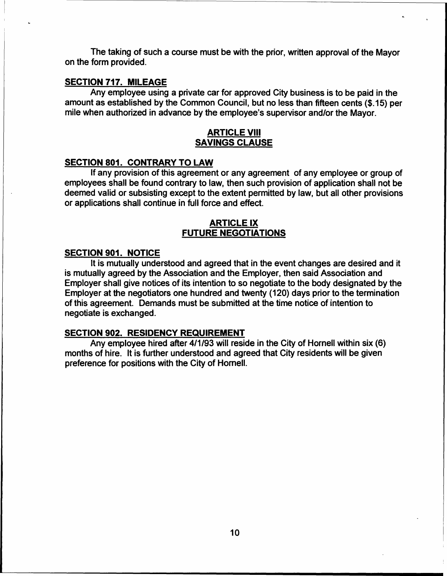The taking of such a course must be with the prior, written approval of the Mayor on the form provided.

# SECTION 717. MilEAGE

Any employee using a private car for approved City business is to be paid in the amount as established by the Common Council, but no less than fifteen cents (\$.15) per mile when authorized in advance by the employee's supervisor and/or the Mayor.

# ARTICLE VIII SAVINGS CLAUSE

#### SECTION 801. CONTRARY TO LAW

If any provision of this agreement or any agreement of any employee or group of employees shall be found contrary to law, then such provision of application shall not be deemed valid or subsisting except to the extent permitted by law, but all other provisions or applications shall continue in full force and effect.

# ARTICLE IX FUTURE NEGOTIATIONS

### SECTION 901. NOTICE

It is mutually understood and agreed that in the event changes are desired and it is mutually agreed by the Association and the Employer, then said Association and Employer shall give notices of its intention to so negotiate to the body designated by the Employer at the negotiators one hundred and twenty (120) days prior to the termination of this agreement. Demands must be submitted at the time notice of intention to negotiate is exchanged.

# SECTION 902. RESIDENCY REQUIREMENT

Any employee hired after 4/1/93 will reside in the City of Hornell within six (6) months of hire. It is further understood and agreed that City residents will be given preference for positions with the City of Hornell.